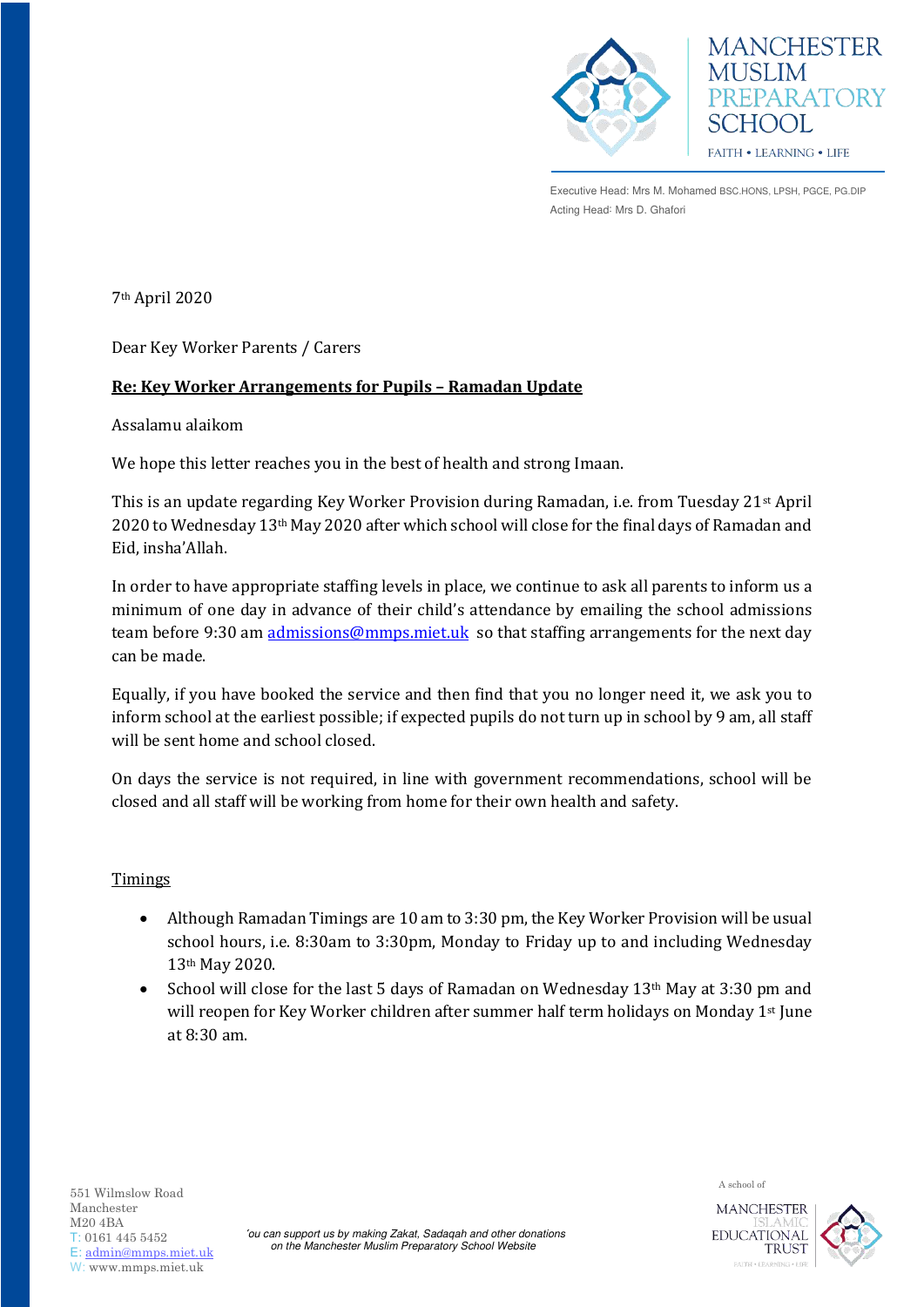

**MANCHESTER MUSLIM** PREPARATORY SCHOOL **FAITH • LEARNING • LIFE** 

Executive Head: Mrs M. Mohamed BSC.HONS, LPSH, PGCE, PG.DIP Acting Head: Mrs D. Ghafori

7th April 2020

Dear Key Worker Parents / Carers

# **Re: Key Worker Arrangements for Pupils – Ramadan Update**

Assalamu alaikom

We hope this letter reaches you in the best of health and strong Imaan.

This is an update regarding Key Worker Provision during Ramadan, i.e. from Tuesday 21st April 2020 to Wednesday 13th May 2020 after which school will close for the final days of Ramadan and Eid, insha'Allah.

In order to have appropriate staffing levels in place, we continue to ask all parents to inform us a minimum of one day in advance of their child's attendance by emailing the school admissions team before 9:30 am [admissions@mmps.miet.uk](mailto:admissions@mmps.miet.uk) so that staffing arrangements for the next day can be made.

Equally, if you have booked the service and then find that you no longer need it, we ask you to inform school at the earliest possible; if expected pupils do not turn up in school by 9 am, all staff will be sent home and school closed.

On days the service is not required, in line with government recommendations, school will be closed and all staff will be working from home for their own health and safety.

## Timings

- Although Ramadan Timings are 10 am to 3:30 pm, the Key Worker Provision will be usual school hours, i.e. 8:30am to 3:30pm, Monday to Friday up to and including Wednesday 13th May 2020.
- School will close for the last 5 days of Ramadan on Wednesday 13th May at 3:30 pm and will reopen for Key Worker children after summer half term holidays on Monday 1st June at 8:30 am.

A school of 551 Wilmslow Road Manchester M20 4BA T: 0161 445 5452 E: [admin@mmps.miet.uk](mailto:admin@mmps.miet.uk) W: www.mmps.miet.uk

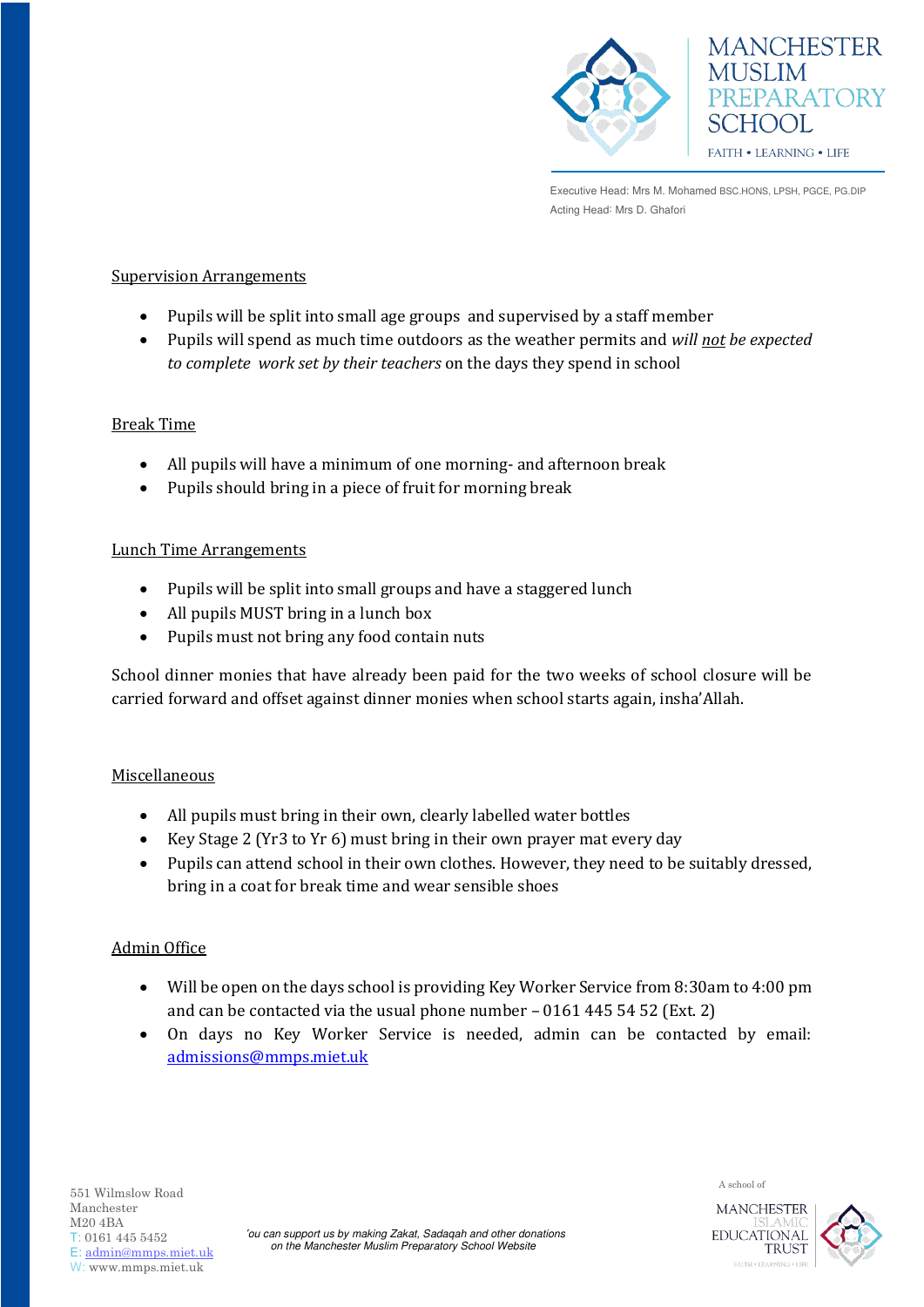



Executive Head: Mrs M. Mohamed BSC.HONS, LPSH, PGCE, PG.DIP Acting Head: Mrs D. Ghafori

### Supervision Arrangements

- Pupils will be split into small age groups and supervised by a staff member
- Pupils will spend as much time outdoors as the weather permits and *will not be expected to complete work set by their teachers* on the days they spend in school

#### Break Time

- All pupils will have a minimum of one morning- and afternoon break
- Pupils should bring in a piece of fruit for morning break

#### Lunch Time Arrangements

- Pupils will be split into small groups and have a staggered lunch
- All pupils MUST bring in a lunch box
- Pupils must not bring any food contain nuts

School dinner monies that have already been paid for the two weeks of school closure will be carried forward and offset against dinner monies when school starts again, insha'Allah.

## Miscellaneous

- All pupils must bring in their own, clearly labelled water bottles
- Key Stage 2 (Yr3 to Yr 6) must bring in their own prayer mat every day
- Pupils can attend school in their own clothes. However, they need to be suitably dressed, bring in a coat for break time and wear sensible shoes

# Admin Office

- Will be open on the days school is providing Key Worker Service from 8:30am to 4:00 pm and can be contacted via the usual phone number – 0161 445 54 52 (Ext. 2)
- On days no Key Worker Service is needed, admin can be contacted by email: [admissions@mmps.miet.uk](mailto:admissions@mmps.miet.uk)